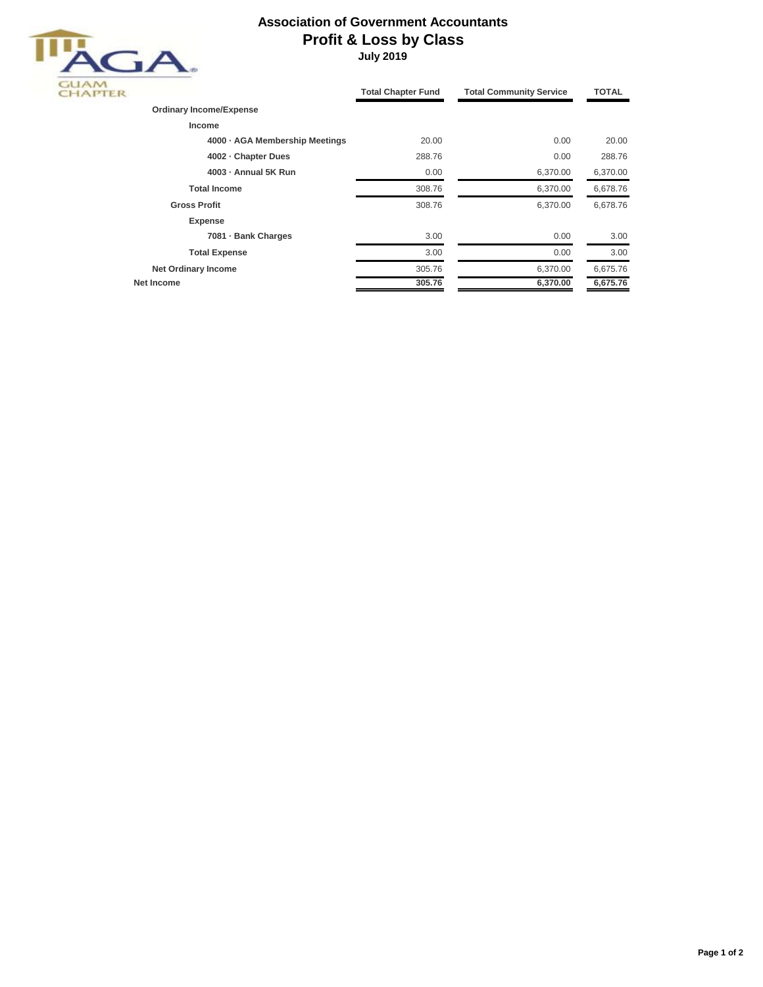## **Association of Government Accountants Profit & Loss by Class**



 **July 2019**

|                                | <b>Total Chapter Fund</b> | <b>Total Community Service</b> | <b>TOTAL</b> |
|--------------------------------|---------------------------|--------------------------------|--------------|
| <b>Ordinary Income/Expense</b> |                           |                                |              |
| Income                         |                           |                                |              |
| 4000 · AGA Membership Meetings | 20.00                     | 0.00                           | 20.00        |
| 4002 - Chapter Dues            | 288.76                    | 0.00                           | 288.76       |
| 4003 - Annual 5K Run           | 0.00                      | 6,370.00                       | 6,370.00     |
| <b>Total Income</b>            | 308.76                    | 6,370.00                       | 6,678.76     |
| <b>Gross Profit</b>            | 308.76                    | 6,370.00                       | 6,678.76     |
| <b>Expense</b>                 |                           |                                |              |
| 7081 - Bank Charges            | 3.00                      | 0.00                           | 3.00         |
| <b>Total Expense</b>           | 3.00                      | 0.00                           | 3.00         |
| <b>Net Ordinary Income</b>     | 305.76                    | 6,370.00                       | 6,675.76     |
| Net Income                     | 305.76                    | 6,370.00                       | 6,675.76     |